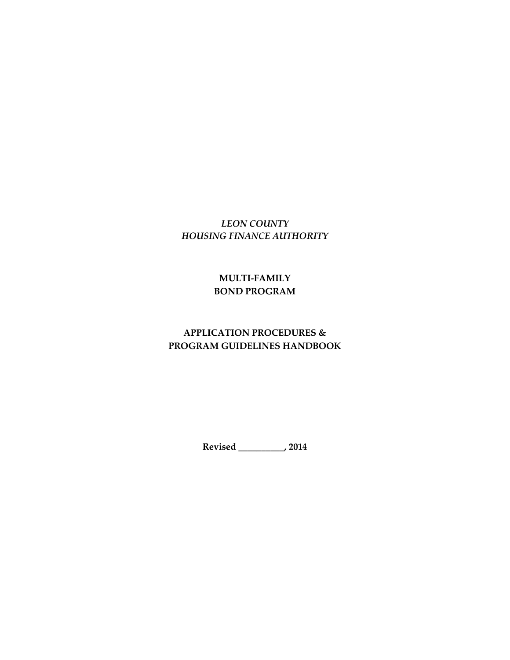# *LEON COUNTY HOUSING FINANCE AUTHORITY*

# **MULTI-FAMILY BOND PROGRAM**

# **APPLICATION PROCEDURES & PROGRAM GUIDELINES HANDBOOK**

**Revised \_\_\_\_\_\_\_\_\_\_, 2014**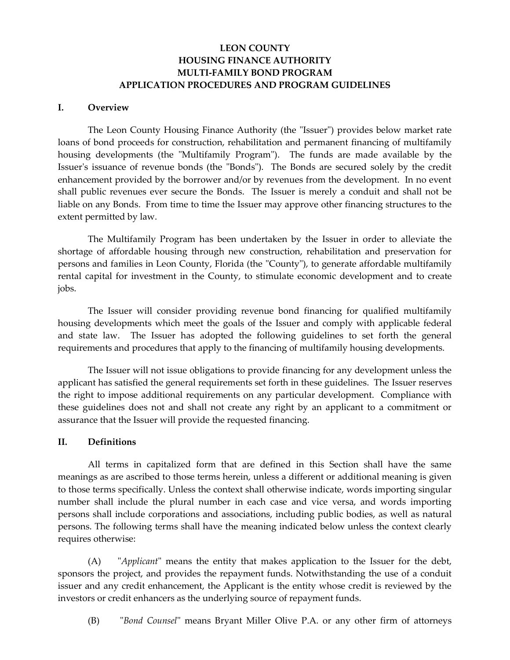## **LEON COUNTY HOUSING FINANCE AUTHORITY MULTI-FAMILY BOND PROGRAM APPLICATION PROCEDURES AND PROGRAM GUIDELINES**

#### **I. Overview**

The Leon County Housing Finance Authority (the "Issuer") provides below market rate loans of bond proceeds for construction, rehabilitation and permanent financing of multifamily housing developments (the "Multifamily Program"). The funds are made available by the Issuer's issuance of revenue bonds (the "Bonds"). The Bonds are secured solely by the credit enhancement provided by the borrower and/or by revenues from the development. In no event shall public revenues ever secure the Bonds. The Issuer is merely a conduit and shall not be liable on any Bonds. From time to time the Issuer may approve other financing structures to the extent permitted by law.

The Multifamily Program has been undertaken by the Issuer in order to alleviate the shortage of affordable housing through new construction, rehabilitation and preservation for persons and families in Leon County, Florida (the "County"), to generate affordable multifamily rental capital for investment in the County, to stimulate economic development and to create jobs.

The Issuer will consider providing revenue bond financing for qualified multifamily housing developments which meet the goals of the Issuer and comply with applicable federal and state law. The Issuer has adopted the following guidelines to set forth the general requirements and procedures that apply to the financing of multifamily housing developments.

The Issuer will not issue obligations to provide financing for any development unless the applicant has satisfied the general requirements set forth in these guidelines. The Issuer reserves the right to impose additional requirements on any particular development. Compliance with these guidelines does not and shall not create any right by an applicant to a commitment or assurance that the Issuer will provide the requested financing.

#### **II. Definitions**

All terms in capitalized form that are defined in this Section shall have the same meanings as are ascribed to those terms herein, unless a different or additional meaning is given to those terms specifically. Unless the context shall otherwise indicate, words importing singular number shall include the plural number in each case and vice versa, and words importing persons shall include corporations and associations, including public bodies, as well as natural persons. The following terms shall have the meaning indicated below unless the context clearly requires otherwise:

(A) "*Applicant*" means the entity that makes application to the Issuer for the debt, sponsors the project, and provides the repayment funds. Notwithstanding the use of a conduit issuer and any credit enhancement, the Applicant is the entity whose credit is reviewed by the investors or credit enhancers as the underlying source of repayment funds.

(B) "*Bond Counsel*" means Bryant Miller Olive P.A. or any other firm of attorneys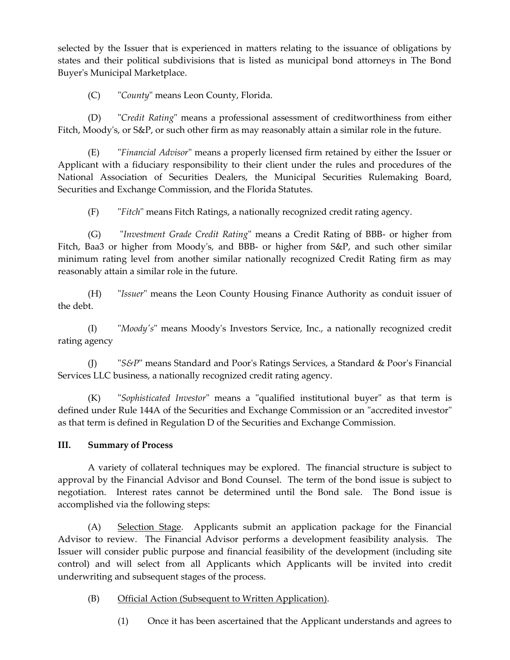selected by the Issuer that is experienced in matters relating to the issuance of obligations by states and their political subdivisions that is listed as municipal bond attorneys in The Bond Buyer's Municipal Marketplace.

(C) "*County*" means Leon County, Florida.

(D) "*Credit Rating*" means a professional assessment of creditworthiness from either Fitch, Moody's, or S&P, or such other firm as may reasonably attain a similar role in the future.

(E) "*Financial Advisor*" means a properly licensed firm retained by either the Issuer or Applicant with a fiduciary responsibility to their client under the rules and procedures of the National Association of Securities Dealers, the Municipal Securities Rulemaking Board, Securities and Exchange Commission, and the Florida Statutes.

(F) "*Fitch*" means Fitch Ratings, a nationally recognized credit rating agency.

(G) "*Investment Grade Credit Rating*" means a Credit Rating of BBB- or higher from Fitch, Baa3 or higher from Moody's, and BBB- or higher from S&P, and such other similar minimum rating level from another similar nationally recognized Credit Rating firm as may reasonably attain a similar role in the future.

(H) "*Issuer*" means the Leon County Housing Finance Authority as conduit issuer of the debt.

(I) "*Moody's*" means Moody's Investors Service, Inc., a nationally recognized credit rating agency

(J) "*S&P*" means Standard and Poor's Ratings Services, a Standard & Poor's Financial Services LLC business, a nationally recognized credit rating agency.

(K) "*Sophisticated Investor*" means a "qualified institutional buyer" as that term is defined under Rule 144A of the Securities and Exchange Commission or an "accredited investor" as that term is defined in Regulation D of the Securities and Exchange Commission.

## **III. Summary of Process**

A variety of collateral techniques may be explored. The financial structure is subject to approval by the Financial Advisor and Bond Counsel. The term of the bond issue is subject to negotiation. Interest rates cannot be determined until the Bond sale. The Bond issue is accomplished via the following steps:

(A) Selection Stage. Applicants submit an application package for the Financial Advisor to review. The Financial Advisor performs a development feasibility analysis. The Issuer will consider public purpose and financial feasibility of the development (including site control) and will select from all Applicants which Applicants will be invited into credit underwriting and subsequent stages of the process.

(B) Official Action (Subsequent to Written Application).

(1) Once it has been ascertained that the Applicant understands and agrees to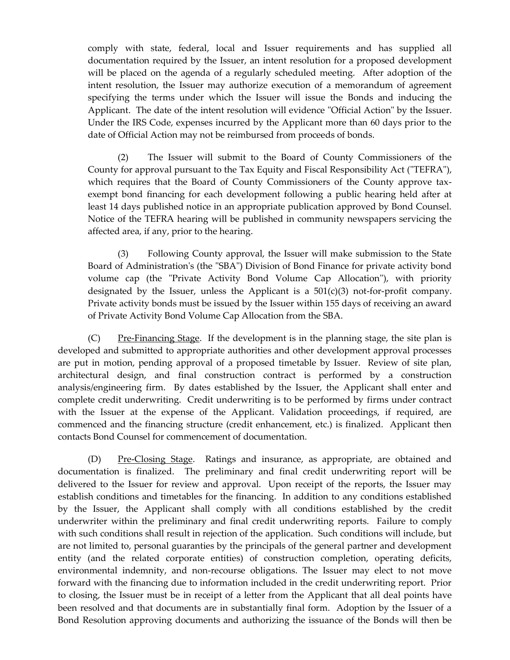comply with state, federal, local and Issuer requirements and has supplied all documentation required by the Issuer, an intent resolution for a proposed development will be placed on the agenda of a regularly scheduled meeting. After adoption of the intent resolution, the Issuer may authorize execution of a memorandum of agreement specifying the terms under which the Issuer will issue the Bonds and inducing the Applicant. The date of the intent resolution will evidence "Official Action" by the Issuer. Under the IRS Code, expenses incurred by the Applicant more than 60 days prior to the date of Official Action may not be reimbursed from proceeds of bonds.

(2) The Issuer will submit to the Board of County Commissioners of the County for approval pursuant to the Tax Equity and Fiscal Responsibility Act ("TEFRA"), which requires that the Board of County Commissioners of the County approve taxexempt bond financing for each development following a public hearing held after at least 14 days published notice in an appropriate publication approved by Bond Counsel. Notice of the TEFRA hearing will be published in community newspapers servicing the affected area, if any, prior to the hearing.

(3) Following County approval, the Issuer will make submission to the State Board of Administration's (the "SBA") Division of Bond Finance for private activity bond volume cap (the "Private Activity Bond Volume Cap Allocation"), with priority designated by the Issuer, unless the Applicant is a  $501(c)(3)$  not-for-profit company. Private activity bonds must be issued by the Issuer within 155 days of receiving an award of Private Activity Bond Volume Cap Allocation from the SBA.

 $(C)$  Pre-Financing Stage. If the development is in the planning stage, the site plan is developed and submitted to appropriate authorities and other development approval processes are put in motion, pending approval of a proposed timetable by Issuer. Review of site plan, architectural design, and final construction contract is performed by a construction analysis/engineering firm. By dates established by the Issuer, the Applicant shall enter and complete credit underwriting. Credit underwriting is to be performed by firms under contract with the Issuer at the expense of the Applicant. Validation proceedings, if required, are commenced and the financing structure (credit enhancement, etc.) is finalized. Applicant then contacts Bond Counsel for commencement of documentation.

(D) Pre-Closing Stage. Ratings and insurance, as appropriate, are obtained and documentation is finalized. The preliminary and final credit underwriting report will be delivered to the Issuer for review and approval. Upon receipt of the reports, the Issuer may establish conditions and timetables for the financing. In addition to any conditions established by the Issuer, the Applicant shall comply with all conditions established by the credit underwriter within the preliminary and final credit underwriting reports. Failure to comply with such conditions shall result in rejection of the application. Such conditions will include, but are not limited to, personal guaranties by the principals of the general partner and development entity (and the related corporate entities) of construction completion, operating deficits, environmental indemnity, and non-recourse obligations. The Issuer may elect to not move forward with the financing due to information included in the credit underwriting report. Prior to closing, the Issuer must be in receipt of a letter from the Applicant that all deal points have been resolved and that documents are in substantially final form. Adoption by the Issuer of a Bond Resolution approving documents and authorizing the issuance of the Bonds will then be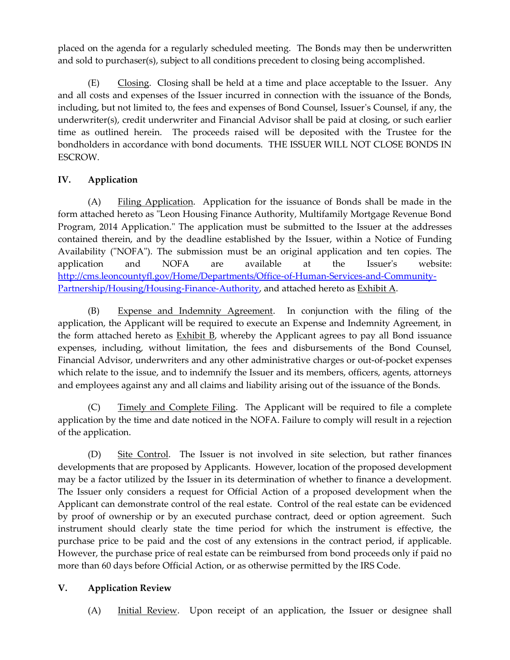placed on the agenda for a regularly scheduled meeting. The Bonds may then be underwritten and sold to purchaser(s), subject to all conditions precedent to closing being accomplished.

(E) Closing. Closing shall be held at a time and place acceptable to the Issuer. Any and all costs and expenses of the Issuer incurred in connection with the issuance of the Bonds, including, but not limited to, the fees and expenses of Bond Counsel, Issuer's Counsel, if any, the underwriter(s), credit underwriter and Financial Advisor shall be paid at closing, or such earlier time as outlined herein. The proceeds raised will be deposited with the Trustee for the bondholders in accordance with bond documents. THE ISSUER WILL NOT CLOSE BONDS IN ESCROW.

## **IV. Application**

(A) Filing Application. Application for the issuance of Bonds shall be made in the form attached hereto as "Leon Housing Finance Authority, Multifamily Mortgage Revenue Bond Program, 2014 Application." The application must be submitted to the Issuer at the addresses contained therein, and by the deadline established by the Issuer, within a Notice of Funding Availability ("NOFA"). The submission must be an original application and ten copies. The application and NOFA are available at the Issuer's website: [http://cms.leoncountyfl.gov/Home/Departments/Office-of-Human-Services-and-Community-](http://cms.leoncountyfl.gov/Home/Departments/Office-of-Human-Services-and-Community-Partnership/Housing/Housing-Finance-Authority)[Partnership/Housing/Housing-Finance-Authority,](http://cms.leoncountyfl.gov/Home/Departments/Office-of-Human-Services-and-Community-Partnership/Housing/Housing-Finance-Authority) and attached hereto as Exhibit A.

(B) Expense and Indemnity Agreement. In conjunction with the filing of the application, the Applicant will be required to execute an Expense and Indemnity Agreement, in the form attached hereto as Exhibit B, whereby the Applicant agrees to pay all Bond issuance expenses, including, without limitation, the fees and disbursements of the Bond Counsel, Financial Advisor, underwriters and any other administrative charges or out-of-pocket expenses which relate to the issue, and to indemnify the Issuer and its members, officers, agents, attorneys and employees against any and all claims and liability arising out of the issuance of the Bonds.

(C) Timely and Complete Filing. The Applicant will be required to file a complete application by the time and date noticed in the NOFA. Failure to comply will result in a rejection of the application.

(D) Site Control. The Issuer is not involved in site selection, but rather finances developments that are proposed by Applicants. However, location of the proposed development may be a factor utilized by the Issuer in its determination of whether to finance a development. The Issuer only considers a request for Official Action of a proposed development when the Applicant can demonstrate control of the real estate. Control of the real estate can be evidenced by proof of ownership or by an executed purchase contract, deed or option agreement. Such instrument should clearly state the time period for which the instrument is effective, the purchase price to be paid and the cost of any extensions in the contract period, if applicable. However, the purchase price of real estate can be reimbursed from bond proceeds only if paid no more than 60 days before Official Action, or as otherwise permitted by the IRS Code.

## **V. Application Review**

(A) Initial Review. Upon receipt of an application, the Issuer or designee shall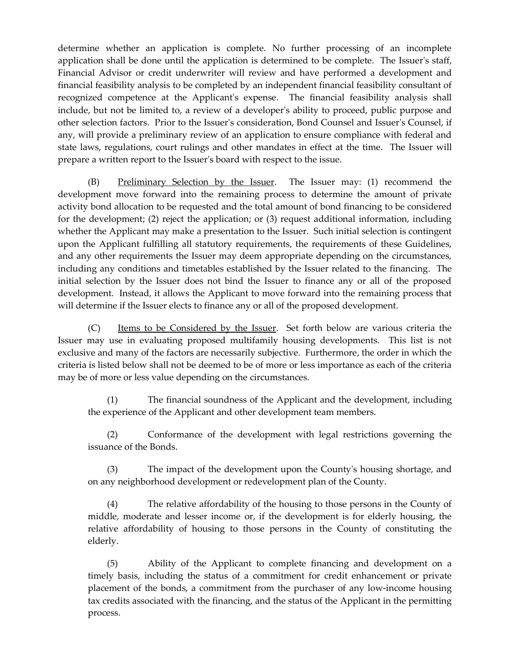determine whether an application is complete. No further processing of an incomplete application shall be done until the application is determined to be complete. The Issuer's staff, Financial Advisor or credit underwriter will review and have performed a development and financial feasibility analysis to be completed by an independent financial feasibility consultant of recognized competence at the Applicant's expense. The financial feasibility analysis shall include, but not be limited to, a review of a developer's ability to proceed, public purpose and other selection factors. Prior to the Issuer's consideration, Bond Counsel and Issuer's Counsel, if any, will provide a preliminary review of an application to ensure compliance with federal and state laws, regulations, court rulings and other mandates in effect at the time. The Issuer will prepare a written report to the Issuer's board with respect to the issue.

(B) Preliminary Selection by the Issuer. The Issuer may: (1) recommend the development move forward into the remaining process to determine the amount of private activity bond allocation to be requested and the total amount of bond financing to be considered for the development; (2) reject the application; or (3) request additional information, including whether the Applicant may make a presentation to the Issuer. Such initial selection is contingent upon the Applicant fulfilling all statutory requirements, the requirements of these Guidelines, and any other requirements the Issuer may deem appropriate depending on the circumstances, including any conditions and timetables established by the Issuer related to the financing. The initial selection by the Issuer does not bind the Issuer to finance any or all of the proposed development. Instead, it allows the Applicant to move forward into the remaining process that will determine if the Issuer elects to finance any or all of the proposed development.

(C) Items to be Considered by the Issuer. Set forth below are various criteria the Issuer may use in evaluating proposed multifamily housing developments. This list is not exclusive and many of the factors are necessarily subjective. Furthermore, the order in which the criteria is listed below shall not be deemed to be of more or less importance as each of the criteria may be of more or less value depending on the circumstances.

(1) The financial soundness of the Applicant and the development, including the experience of the Applicant and other development team members.

(2) Conformance of the development with legal restrictions governing the issuance of the Bonds.

(3) The impact of the development upon the County's housing shortage, and on any neighborhood development or redevelopment plan of the County.

(4) The relative affordability of the housing to those persons in the County of middle, moderate and lesser income or, if the development is for elderly housing, the relative affordability of housing to those persons in the County of constituting the elderly.

(5) Ability of the Applicant to complete financing and development on a timely basis, including the status of a commitment for credit enhancement or private placement of the bonds, a commitment from the purchaser of any low-income housing tax credits associated with the financing, and the status of the Applicant in the permitting process.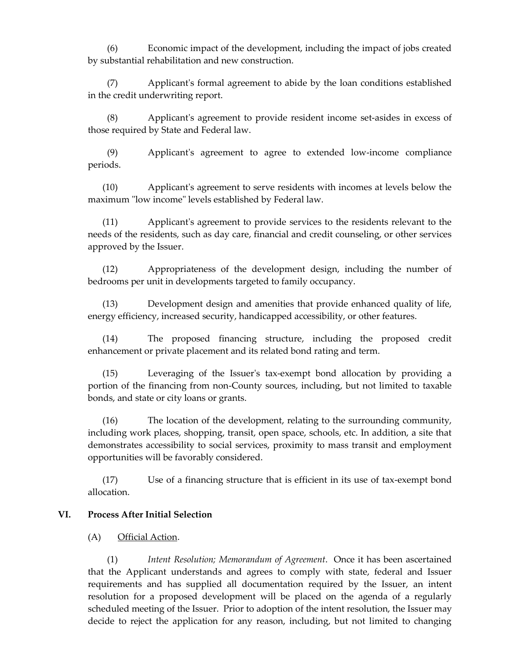(6) Economic impact of the development, including the impact of jobs created by substantial rehabilitation and new construction.

(7) Applicant's formal agreement to abide by the loan conditions established in the credit underwriting report.

(8) Applicant's agreement to provide resident income set-asides in excess of those required by State and Federal law.

(9) Applicant's agreement to agree to extended low-income compliance periods.

(10) Applicant's agreement to serve residents with incomes at levels below the maximum "low income" levels established by Federal law.

(11) Applicant's agreement to provide services to the residents relevant to the needs of the residents, such as day care, financial and credit counseling, or other services approved by the Issuer.

(12) Appropriateness of the development design, including the number of bedrooms per unit in developments targeted to family occupancy.

(13) Development design and amenities that provide enhanced quality of life, energy efficiency, increased security, handicapped accessibility, or other features.

(14) The proposed financing structure, including the proposed credit enhancement or private placement and its related bond rating and term.

(15) Leveraging of the Issuer's tax-exempt bond allocation by providing a portion of the financing from non-County sources, including, but not limited to taxable bonds, and state or city loans or grants.

(16) The location of the development, relating to the surrounding community, including work places, shopping, transit, open space, schools, etc. In addition, a site that demonstrates accessibility to social services, proximity to mass transit and employment opportunities will be favorably considered.

(17) Use of a financing structure that is efficient in its use of tax-exempt bond allocation.

## **VI. Process After Initial Selection**

## (A) Official Action.

(1) *Intent Resolution; Memorandum of Agreement*.Once it has been ascertained that the Applicant understands and agrees to comply with state, federal and Issuer requirements and has supplied all documentation required by the Issuer, an intent resolution for a proposed development will be placed on the agenda of a regularly scheduled meeting of the Issuer. Prior to adoption of the intent resolution, the Issuer may decide to reject the application for any reason, including, but not limited to changing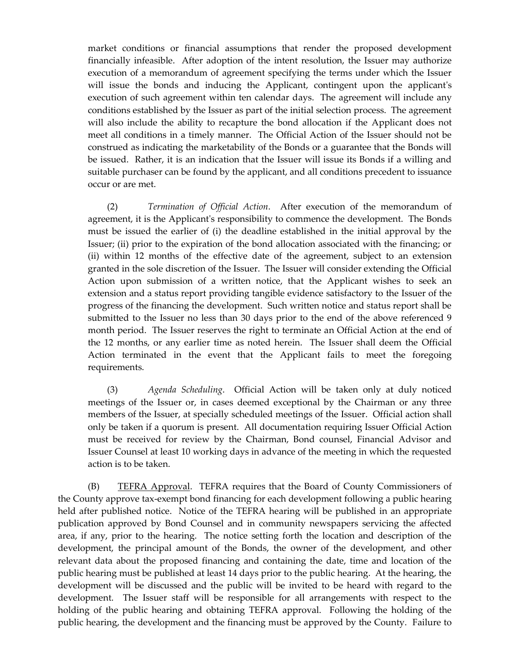market conditions or financial assumptions that render the proposed development financially infeasible. After adoption of the intent resolution, the Issuer may authorize execution of a memorandum of agreement specifying the terms under which the Issuer will issue the bonds and inducing the Applicant, contingent upon the applicant's execution of such agreement within ten calendar days. The agreement will include any conditions established by the Issuer as part of the initial selection process. The agreement will also include the ability to recapture the bond allocation if the Applicant does not meet all conditions in a timely manner. The Official Action of the Issuer should not be construed as indicating the marketability of the Bonds or a guarantee that the Bonds will be issued. Rather, it is an indication that the Issuer will issue its Bonds if a willing and suitable purchaser can be found by the applicant, and all conditions precedent to issuance occur or are met.

(2) *Termination of Official Action*. After execution of the memorandum of agreement, it is the Applicant's responsibility to commence the development. The Bonds must be issued the earlier of (i) the deadline established in the initial approval by the Issuer; (ii) prior to the expiration of the bond allocation associated with the financing; or (ii) within 12 months of the effective date of the agreement, subject to an extension granted in the sole discretion of the Issuer. The Issuer will consider extending the Official Action upon submission of a written notice, that the Applicant wishes to seek an extension and a status report providing tangible evidence satisfactory to the Issuer of the progress of the financing the development. Such written notice and status report shall be submitted to the Issuer no less than 30 days prior to the end of the above referenced 9 month period. The Issuer reserves the right to terminate an Official Action at the end of the 12 months, or any earlier time as noted herein. The Issuer shall deem the Official Action terminated in the event that the Applicant fails to meet the foregoing requirements.

(3) *Agenda Scheduling*. Official Action will be taken only at duly noticed meetings of the Issuer or, in cases deemed exceptional by the Chairman or any three members of the Issuer, at specially scheduled meetings of the Issuer. Official action shall only be taken if a quorum is present. All documentation requiring Issuer Official Action must be received for review by the Chairman, Bond counsel, Financial Advisor and Issuer Counsel at least 10 working days in advance of the meeting in which the requested action is to be taken.

(B) TEFRA Approval. TEFRA requires that the Board of County Commissioners of the County approve tax-exempt bond financing for each development following a public hearing held after published notice. Notice of the TEFRA hearing will be published in an appropriate publication approved by Bond Counsel and in community newspapers servicing the affected area, if any, prior to the hearing. The notice setting forth the location and description of the development, the principal amount of the Bonds, the owner of the development, and other relevant data about the proposed financing and containing the date, time and location of the public hearing must be published at least 14 days prior to the public hearing. At the hearing, the development will be discussed and the public will be invited to be heard with regard to the development. The Issuer staff will be responsible for all arrangements with respect to the holding of the public hearing and obtaining TEFRA approval. Following the holding of the public hearing, the development and the financing must be approved by the County. Failure to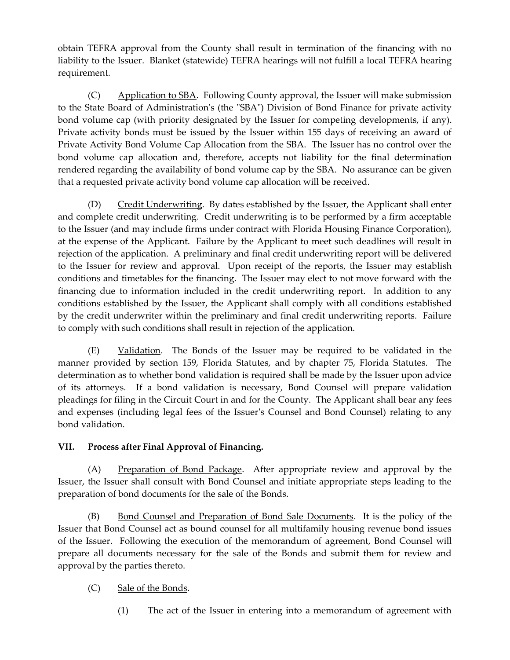obtain TEFRA approval from the County shall result in termination of the financing with no liability to the Issuer. Blanket (statewide) TEFRA hearings will not fulfill a local TEFRA hearing requirement.

(C) Application to SBA. Following County approval, the Issuer will make submission to the State Board of Administration's (the "SBA") Division of Bond Finance for private activity bond volume cap (with priority designated by the Issuer for competing developments, if any). Private activity bonds must be issued by the Issuer within 155 days of receiving an award of Private Activity Bond Volume Cap Allocation from the SBA. The Issuer has no control over the bond volume cap allocation and, therefore, accepts not liability for the final determination rendered regarding the availability of bond volume cap by the SBA. No assurance can be given that a requested private activity bond volume cap allocation will be received.

(D) Credit Underwriting. By dates established by the Issuer, the Applicant shall enter and complete credit underwriting. Credit underwriting is to be performed by a firm acceptable to the Issuer (and may include firms under contract with Florida Housing Finance Corporation), at the expense of the Applicant. Failure by the Applicant to meet such deadlines will result in rejection of the application. A preliminary and final credit underwriting report will be delivered to the Issuer for review and approval. Upon receipt of the reports, the Issuer may establish conditions and timetables for the financing. The Issuer may elect to not move forward with the financing due to information included in the credit underwriting report. In addition to any conditions established by the Issuer, the Applicant shall comply with all conditions established by the credit underwriter within the preliminary and final credit underwriting reports. Failure to comply with such conditions shall result in rejection of the application.

(E) Validation. The Bonds of the Issuer may be required to be validated in the manner provided by section 159, Florida Statutes, and by chapter 75, Florida Statutes. The determination as to whether bond validation is required shall be made by the Issuer upon advice of its attorneys. If a bond validation is necessary, Bond Counsel will prepare validation pleadings for filing in the Circuit Court in and for the County. The Applicant shall bear any fees and expenses (including legal fees of the Issuer's Counsel and Bond Counsel) relating to any bond validation.

## **VII. Process after Final Approval of Financing.**

(A) Preparation of Bond Package. After appropriate review and approval by the Issuer, the Issuer shall consult with Bond Counsel and initiate appropriate steps leading to the preparation of bond documents for the sale of the Bonds.

(B) Bond Counsel and Preparation of Bond Sale Documents. It is the policy of the Issuer that Bond Counsel act as bound counsel for all multifamily housing revenue bond issues of the Issuer. Following the execution of the memorandum of agreement, Bond Counsel will prepare all documents necessary for the sale of the Bonds and submit them for review and approval by the parties thereto.

## (C) Sale of the Bonds.

(1) The act of the Issuer in entering into a memorandum of agreement with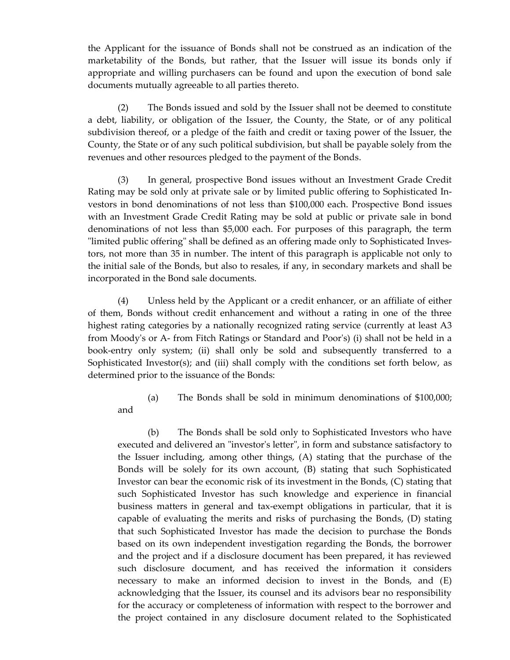the Applicant for the issuance of Bonds shall not be construed as an indication of the marketability of the Bonds, but rather, that the Issuer will issue its bonds only if appropriate and willing purchasers can be found and upon the execution of bond sale documents mutually agreeable to all parties thereto.

(2) The Bonds issued and sold by the Issuer shall not be deemed to constitute a debt, liability, or obligation of the Issuer, the County, the State, or of any political subdivision thereof, or a pledge of the faith and credit or taxing power of the Issuer, the County, the State or of any such political subdivision, but shall be payable solely from the revenues and other resources pledged to the payment of the Bonds.

(3) In general, prospective Bond issues without an Investment Grade Credit Rating may be sold only at private sale or by limited public offering to Sophisticated Investors in bond denominations of not less than \$100,000 each. Prospective Bond issues with an Investment Grade Credit Rating may be sold at public or private sale in bond denominations of not less than \$5,000 each. For purposes of this paragraph, the term "limited public offering" shall be defined as an offering made only to Sophisticated Investors, not more than 35 in number. The intent of this paragraph is applicable not only to the initial sale of the Bonds, but also to resales, if any, in secondary markets and shall be incorporated in the Bond sale documents.

(4) Unless held by the Applicant or a credit enhancer, or an affiliate of either of them, Bonds without credit enhancement and without a rating in one of the three highest rating categories by a nationally recognized rating service (currently at least A3 from Moody's or A- from Fitch Ratings or Standard and Poor's) (i) shall not be held in a book-entry only system; (ii) shall only be sold and subsequently transferred to a Sophisticated Investor(s); and (iii) shall comply with the conditions set forth below, as determined prior to the issuance of the Bonds:

and

(a) The Bonds shall be sold in minimum denominations of \$100,000;

(b) The Bonds shall be sold only to Sophisticated Investors who have executed and delivered an "investor's letter", in form and substance satisfactory to the Issuer including, among other things, (A) stating that the purchase of the Bonds will be solely for its own account, (B) stating that such Sophisticated Investor can bear the economic risk of its investment in the Bonds, (C) stating that such Sophisticated Investor has such knowledge and experience in financial business matters in general and tax-exempt obligations in particular, that it is capable of evaluating the merits and risks of purchasing the Bonds, (D) stating that such Sophisticated Investor has made the decision to purchase the Bonds based on its own independent investigation regarding the Bonds, the borrower and the project and if a disclosure document has been prepared, it has reviewed such disclosure document, and has received the information it considers necessary to make an informed decision to invest in the Bonds, and (E) acknowledging that the Issuer, its counsel and its advisors bear no responsibility for the accuracy or completeness of information with respect to the borrower and the project contained in any disclosure document related to the Sophisticated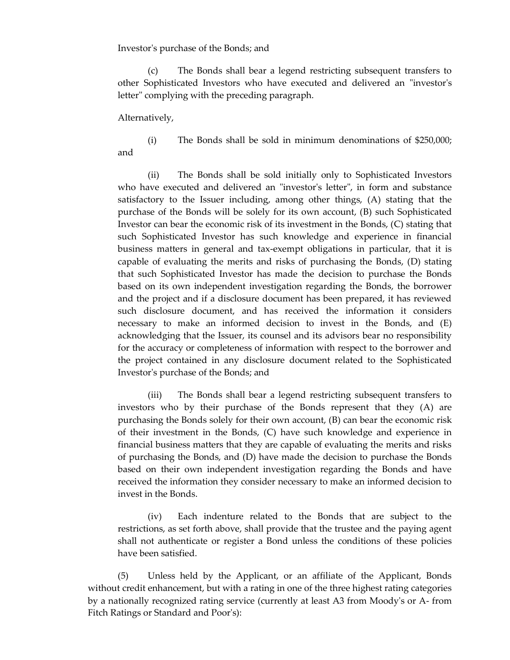Investor's purchase of the Bonds; and

(c) The Bonds shall bear a legend restricting subsequent transfers to other Sophisticated Investors who have executed and delivered an "investor's letter" complying with the preceding paragraph.

Alternatively,

(i) The Bonds shall be sold in minimum denominations of \$250,000; and

(ii) The Bonds shall be sold initially only to Sophisticated Investors who have executed and delivered an "investor's letter", in form and substance satisfactory to the Issuer including, among other things, (A) stating that the purchase of the Bonds will be solely for its own account, (B) such Sophisticated Investor can bear the economic risk of its investment in the Bonds, (C) stating that such Sophisticated Investor has such knowledge and experience in financial business matters in general and tax-exempt obligations in particular, that it is capable of evaluating the merits and risks of purchasing the Bonds, (D) stating that such Sophisticated Investor has made the decision to purchase the Bonds based on its own independent investigation regarding the Bonds, the borrower and the project and if a disclosure document has been prepared, it has reviewed such disclosure document, and has received the information it considers necessary to make an informed decision to invest in the Bonds, and (E) acknowledging that the Issuer, its counsel and its advisors bear no responsibility for the accuracy or completeness of information with respect to the borrower and the project contained in any disclosure document related to the Sophisticated Investor's purchase of the Bonds; and

(iii) The Bonds shall bear a legend restricting subsequent transfers to investors who by their purchase of the Bonds represent that they (A) are purchasing the Bonds solely for their own account, (B) can bear the economic risk of their investment in the Bonds, (C) have such knowledge and experience in financial business matters that they are capable of evaluating the merits and risks of purchasing the Bonds, and (D) have made the decision to purchase the Bonds based on their own independent investigation regarding the Bonds and have received the information they consider necessary to make an informed decision to invest in the Bonds.

(iv) Each indenture related to the Bonds that are subject to the restrictions, as set forth above, shall provide that the trustee and the paying agent shall not authenticate or register a Bond unless the conditions of these policies have been satisfied.

(5) Unless held by the Applicant, or an affiliate of the Applicant, Bonds without credit enhancement, but with a rating in one of the three highest rating categories by a nationally recognized rating service (currently at least A3 from Moody's or A- from Fitch Ratings or Standard and Poor's):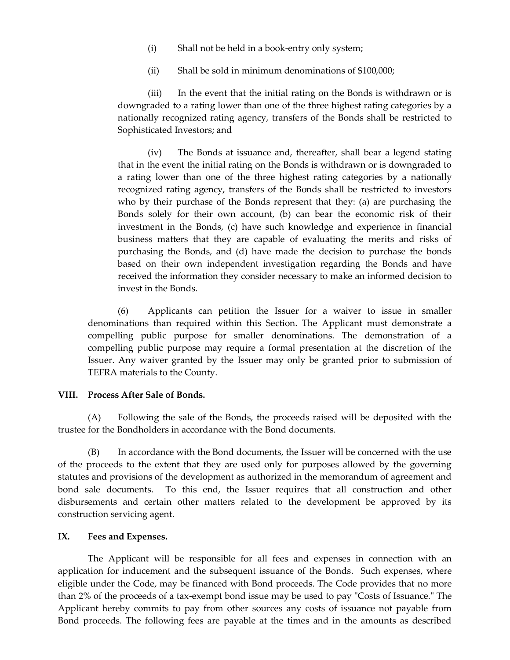- (i) Shall not be held in a book-entry only system;
- (ii) Shall be sold in minimum denominations of \$100,000;

(iii) In the event that the initial rating on the Bonds is withdrawn or is downgraded to a rating lower than one of the three highest rating categories by a nationally recognized rating agency, transfers of the Bonds shall be restricted to Sophisticated Investors; and

(iv) The Bonds at issuance and, thereafter, shall bear a legend stating that in the event the initial rating on the Bonds is withdrawn or is downgraded to a rating lower than one of the three highest rating categories by a nationally recognized rating agency, transfers of the Bonds shall be restricted to investors who by their purchase of the Bonds represent that they: (a) are purchasing the Bonds solely for their own account, (b) can bear the economic risk of their investment in the Bonds, (c) have such knowledge and experience in financial business matters that they are capable of evaluating the merits and risks of purchasing the Bonds, and (d) have made the decision to purchase the bonds based on their own independent investigation regarding the Bonds and have received the information they consider necessary to make an informed decision to invest in the Bonds.

(6) Applicants can petition the Issuer for a waiver to issue in smaller denominations than required within this Section. The Applicant must demonstrate a compelling public purpose for smaller denominations. The demonstration of a compelling public purpose may require a formal presentation at the discretion of the Issuer. Any waiver granted by the Issuer may only be granted prior to submission of TEFRA materials to the County.

## **VIII. Process After Sale of Bonds.**

(A) Following the sale of the Bonds, the proceeds raised will be deposited with the trustee for the Bondholders in accordance with the Bond documents.

(B) In accordance with the Bond documents, the Issuer will be concerned with the use of the proceeds to the extent that they are used only for purposes allowed by the governing statutes and provisions of the development as authorized in the memorandum of agreement and bond sale documents. To this end, the Issuer requires that all construction and other disbursements and certain other matters related to the development be approved by its construction servicing agent.

## **IX. Fees and Expenses.**

The Applicant will be responsible for all fees and expenses in connection with an application for inducement and the subsequent issuance of the Bonds. Such expenses, where eligible under the Code, may be financed with Bond proceeds. The Code provides that no more than 2% of the proceeds of a tax-exempt bond issue may be used to pay "Costs of Issuance." The Applicant hereby commits to pay from other sources any costs of issuance not payable from Bond proceeds. The following fees are payable at the times and in the amounts as described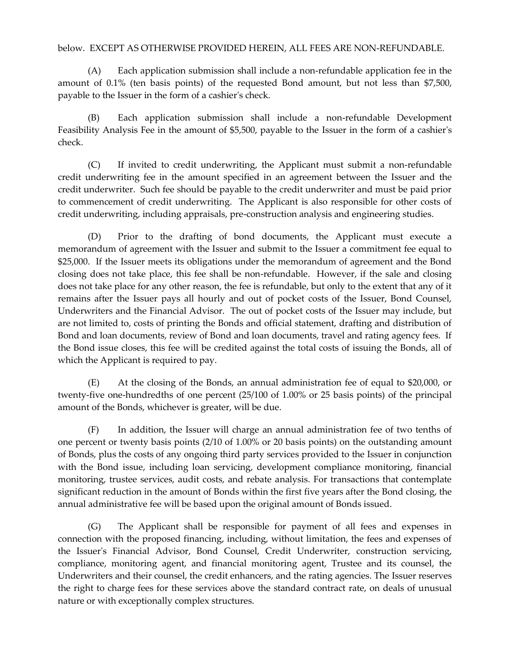## below. EXCEPT AS OTHERWISE PROVIDED HEREIN, ALL FEES ARE NON-REFUNDABLE.

(A) Each application submission shall include a non-refundable application fee in the amount of 0.1% (ten basis points) of the requested Bond amount, but not less than \$7,500, payable to the Issuer in the form of a cashier's check.

(B) Each application submission shall include a non-refundable Development Feasibility Analysis Fee in the amount of \$5,500, payable to the Issuer in the form of a cashier's check.

(C) If invited to credit underwriting, the Applicant must submit a non-refundable credit underwriting fee in the amount specified in an agreement between the Issuer and the credit underwriter. Such fee should be payable to the credit underwriter and must be paid prior to commencement of credit underwriting. The Applicant is also responsible for other costs of credit underwriting, including appraisals, pre-construction analysis and engineering studies.

(D) Prior to the drafting of bond documents, the Applicant must execute a memorandum of agreement with the Issuer and submit to the Issuer a commitment fee equal to \$25,000. If the Issuer meets its obligations under the memorandum of agreement and the Bond closing does not take place, this fee shall be non-refundable. However, if the sale and closing does not take place for any other reason, the fee is refundable, but only to the extent that any of it remains after the Issuer pays all hourly and out of pocket costs of the Issuer, Bond Counsel, Underwriters and the Financial Advisor. The out of pocket costs of the Issuer may include, but are not limited to, costs of printing the Bonds and official statement, drafting and distribution of Bond and loan documents, review of Bond and loan documents, travel and rating agency fees. If the Bond issue closes, this fee will be credited against the total costs of issuing the Bonds, all of which the Applicant is required to pay.

(E) At the closing of the Bonds, an annual administration fee of equal to \$20,000, or twenty-five one-hundredths of one percent (25/100 of 1.00% or 25 basis points) of the principal amount of the Bonds, whichever is greater, will be due.

(F) In addition, the Issuer will charge an annual administration fee of two tenths of one percent or twenty basis points (2/10 of 1.00% or 20 basis points) on the outstanding amount of Bonds, plus the costs of any ongoing third party services provided to the Issuer in conjunction with the Bond issue, including loan servicing, development compliance monitoring, financial monitoring, trustee services, audit costs, and rebate analysis. For transactions that contemplate significant reduction in the amount of Bonds within the first five years after the Bond closing, the annual administrative fee will be based upon the original amount of Bonds issued.

(G) The Applicant shall be responsible for payment of all fees and expenses in connection with the proposed financing, including, without limitation, the fees and expenses of the Issuer's Financial Advisor, Bond Counsel, Credit Underwriter, construction servicing, compliance, monitoring agent, and financial monitoring agent, Trustee and its counsel, the Underwriters and their counsel, the credit enhancers, and the rating agencies. The Issuer reserves the right to charge fees for these services above the standard contract rate, on deals of unusual nature or with exceptionally complex structures.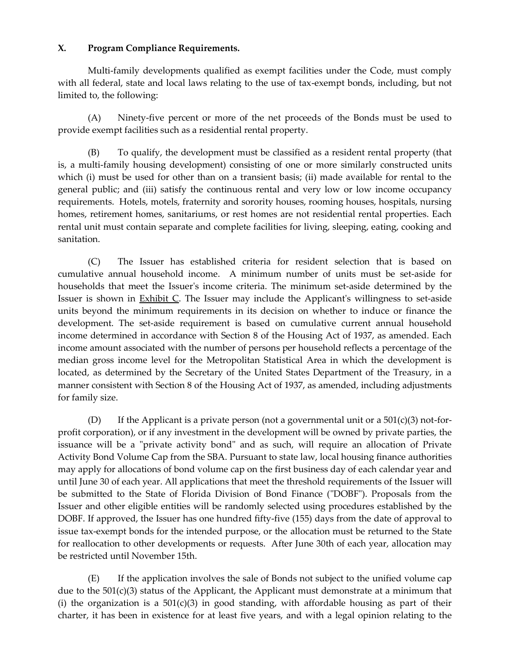## **X. Program Compliance Requirements.**

Multi-family developments qualified as exempt facilities under the Code, must comply with all federal, state and local laws relating to the use of tax-exempt bonds, including, but not limited to, the following:

(A) Ninety-five percent or more of the net proceeds of the Bonds must be used to provide exempt facilities such as a residential rental property.

(B) To qualify, the development must be classified as a resident rental property (that is, a multi-family housing development) consisting of one or more similarly constructed units which (i) must be used for other than on a transient basis; (ii) made available for rental to the general public; and (iii) satisfy the continuous rental and very low or low income occupancy requirements. Hotels, motels, fraternity and sorority houses, rooming houses, hospitals, nursing homes, retirement homes, sanitariums, or rest homes are not residential rental properties. Each rental unit must contain separate and complete facilities for living, sleeping, eating, cooking and sanitation.

(C) The Issuer has established criteria for resident selection that is based on cumulative annual household income. A minimum number of units must be set-aside for households that meet the Issuer's income criteria. The minimum set-aside determined by the Issuer is shown in Exhibit C. The Issuer may include the Applicant's willingness to set-aside units beyond the minimum requirements in its decision on whether to induce or finance the development. The set-aside requirement is based on cumulative current annual household income determined in accordance with Section 8 of the Housing Act of 1937, as amended. Each income amount associated with the number of persons per household reflects a percentage of the median gross income level for the Metropolitan Statistical Area in which the development is located, as determined by the Secretary of the United States Department of the Treasury, in a manner consistent with Section 8 of the Housing Act of 1937, as amended, including adjustments for family size.

(D) If the Applicant is a private person (not a governmental unit or a  $501(c)(3)$  not-forprofit corporation), or if any investment in the development will be owned by private parties, the issuance will be a "private activity bond" and as such, will require an allocation of Private Activity Bond Volume Cap from the SBA. Pursuant to state law, local housing finance authorities may apply for allocations of bond volume cap on the first business day of each calendar year and until June 30 of each year. All applications that meet the threshold requirements of the Issuer will be submitted to the State of Florida Division of Bond Finance ("DOBF"). Proposals from the Issuer and other eligible entities will be randomly selected using procedures established by the DOBF. If approved, the Issuer has one hundred fifty-five (155) days from the date of approval to issue tax-exempt bonds for the intended purpose, or the allocation must be returned to the State for reallocation to other developments or requests. After June 30th of each year, allocation may be restricted until November 15th.

(E) If the application involves the sale of Bonds not subject to the unified volume cap due to the 501(c)(3) status of the Applicant, the Applicant must demonstrate at a minimum that (i) the organization is a  $501(c)(3)$  in good standing, with affordable housing as part of their charter, it has been in existence for at least five years, and with a legal opinion relating to the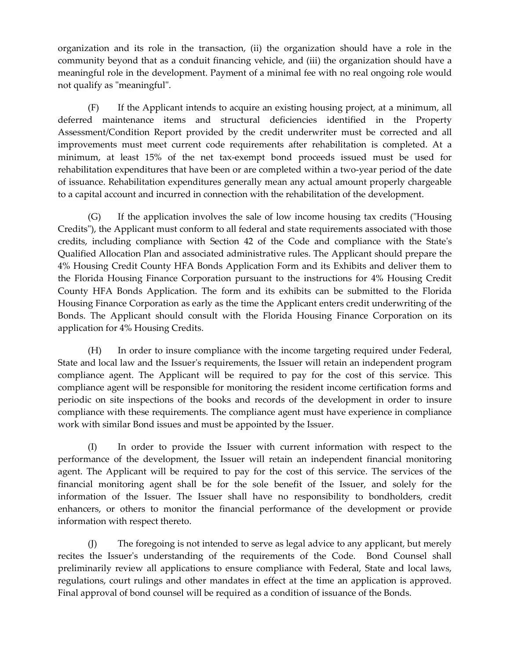organization and its role in the transaction, (ii) the organization should have a role in the community beyond that as a conduit financing vehicle, and (iii) the organization should have a meaningful role in the development. Payment of a minimal fee with no real ongoing role would not qualify as "meaningful".

(F) If the Applicant intends to acquire an existing housing project, at a minimum, all deferred maintenance items and structural deficiencies identified in the Property Assessment/Condition Report provided by the credit underwriter must be corrected and all improvements must meet current code requirements after rehabilitation is completed. At a minimum, at least 15% of the net tax-exempt bond proceeds issued must be used for rehabilitation expenditures that have been or are completed within a two-year period of the date of issuance. Rehabilitation expenditures generally mean any actual amount properly chargeable to a capital account and incurred in connection with the rehabilitation of the development.

(G) If the application involves the sale of low income housing tax credits ("Housing Credits"), the Applicant must conform to all federal and state requirements associated with those credits, including compliance with Section 42 of the Code and compliance with the State's Qualified Allocation Plan and associated administrative rules. The Applicant should prepare the 4% Housing Credit County HFA Bonds Application Form and its Exhibits and deliver them to the Florida Housing Finance Corporation pursuant to the instructions for 4% Housing Credit County HFA Bonds Application. The form and its exhibits can be submitted to the Florida Housing Finance Corporation as early as the time the Applicant enters credit underwriting of the Bonds. The Applicant should consult with the Florida Housing Finance Corporation on its application for 4% Housing Credits.

(H) In order to insure compliance with the income targeting required under Federal, State and local law and the Issuer's requirements, the Issuer will retain an independent program compliance agent. The Applicant will be required to pay for the cost of this service. This compliance agent will be responsible for monitoring the resident income certification forms and periodic on site inspections of the books and records of the development in order to insure compliance with these requirements. The compliance agent must have experience in compliance work with similar Bond issues and must be appointed by the Issuer.

(I) In order to provide the Issuer with current information with respect to the performance of the development, the Issuer will retain an independent financial monitoring agent. The Applicant will be required to pay for the cost of this service. The services of the financial monitoring agent shall be for the sole benefit of the Issuer, and solely for the information of the Issuer. The Issuer shall have no responsibility to bondholders, credit enhancers, or others to monitor the financial performance of the development or provide information with respect thereto.

(J) The foregoing is not intended to serve as legal advice to any applicant, but merely recites the Issuer's understanding of the requirements of the Code. Bond Counsel shall preliminarily review all applications to ensure compliance with Federal, State and local laws, regulations, court rulings and other mandates in effect at the time an application is approved. Final approval of bond counsel will be required as a condition of issuance of the Bonds.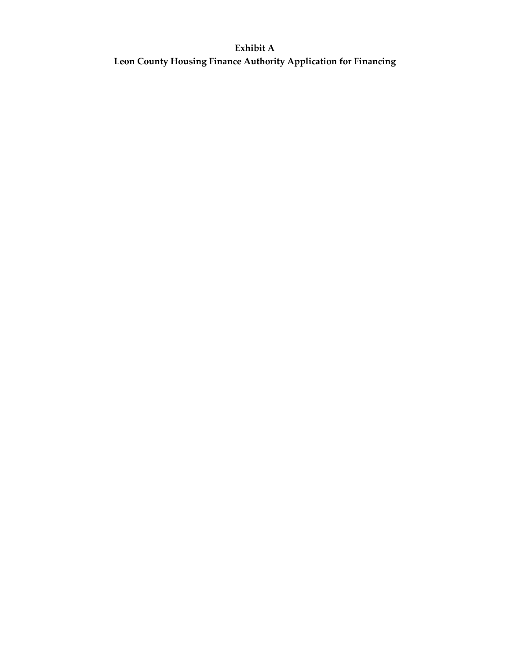# **Exhibit A Leon County Housing Finance Authority Application for Financing**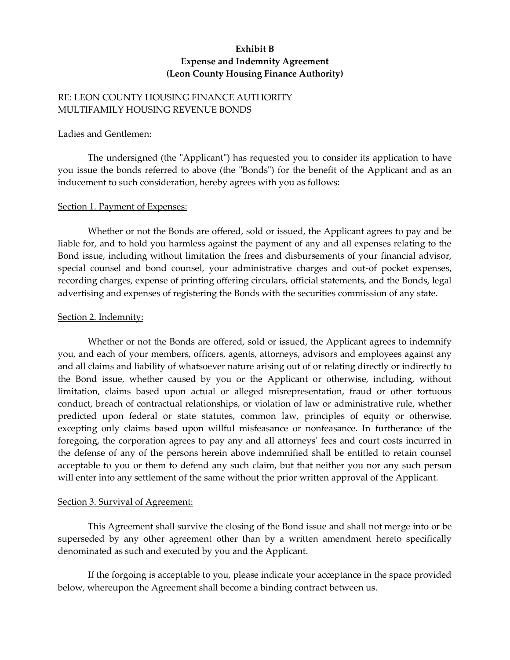## **Exhibit B Expense and Indemnity Agreement (Leon County Housing Finance Authority)**

## RE: LEON COUNTY HOUSING FINANCE AUTHORITY MULTIFAMILY HOUSING REVENUE BONDS

#### Ladies and Gentlemen:

The undersigned (the "Applicant") has requested you to consider its application to have you issue the bonds referred to above (the "Bonds") for the benefit of the Applicant and as an inducement to such consideration, hereby agrees with you as follows:

## Section 1. Payment of Expenses:

Whether or not the Bonds are offered, sold or issued, the Applicant agrees to pay and be liable for, and to hold you harmless against the payment of any and all expenses relating to the Bond issue, including without limitation the frees and disbursements of your financial advisor, special counsel and bond counsel, your administrative charges and out-of pocket expenses, recording charges, expense of printing offering circulars, official statements, and the Bonds, legal advertising and expenses of registering the Bonds with the securities commission of any state.

#### Section 2. Indemnity:

Whether or not the Bonds are offered, sold or issued, the Applicant agrees to indemnify you, and each of your members, officers, agents, attorneys, advisors and employees against any and all claims and liability of whatsoever nature arising out of or relating directly or indirectly to the Bond issue, whether caused by you or the Applicant or otherwise, including, without limitation, claims based upon actual or alleged misrepresentation, fraud or other tortuous conduct, breach of contractual relationships, or violation of law or administrative rule, whether predicted upon federal or state statutes, common law, principles of equity or otherwise, excepting only claims based upon willful misfeasance or nonfeasance. In furtherance of the foregoing, the corporation agrees to pay any and all attorneys' fees and court costs incurred in the defense of any of the persons herein above indemnified shall be entitled to retain counsel acceptable to you or them to defend any such claim, but that neither you nor any such person will enter into any settlement of the same without the prior written approval of the Applicant.

## Section 3. Survival of Agreement:

This Agreement shall survive the closing of the Bond issue and shall not merge into or be superseded by any other agreement other than by a written amendment hereto specifically denominated as such and executed by you and the Applicant.

If the forgoing is acceptable to you, please indicate your acceptance in the space provided below, whereupon the Agreement shall become a binding contract between us.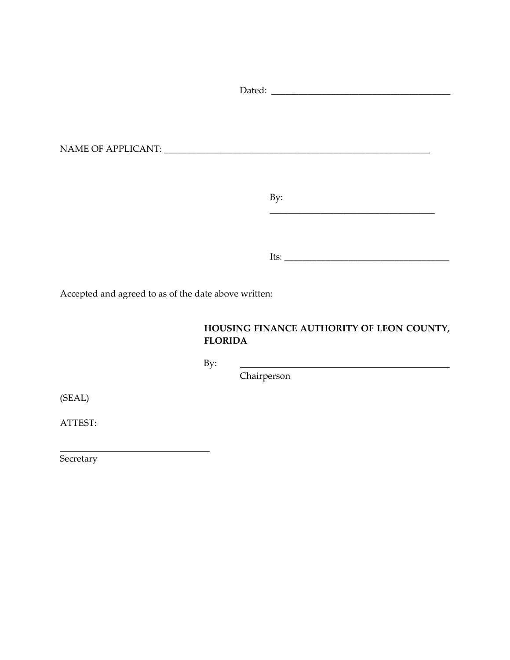| By:                                                                                                                                                                                                                            |  |
|--------------------------------------------------------------------------------------------------------------------------------------------------------------------------------------------------------------------------------|--|
|                                                                                                                                                                                                                                |  |
|                                                                                                                                                                                                                                |  |
|                                                                                                                                                                                                                                |  |
| Its: The contract of the contract of the contract of the contract of the contract of the contract of the contract of the contract of the contract of the contract of the contract of the contract of the contract of the contr |  |

Accepted and agreed to as of the date above written:

# **HOUSING FINANCE AUTHORITY OF LEON COUNTY, FLORIDA**

By:

Chairperson

(SEAL)

ATTEST:

Secretary